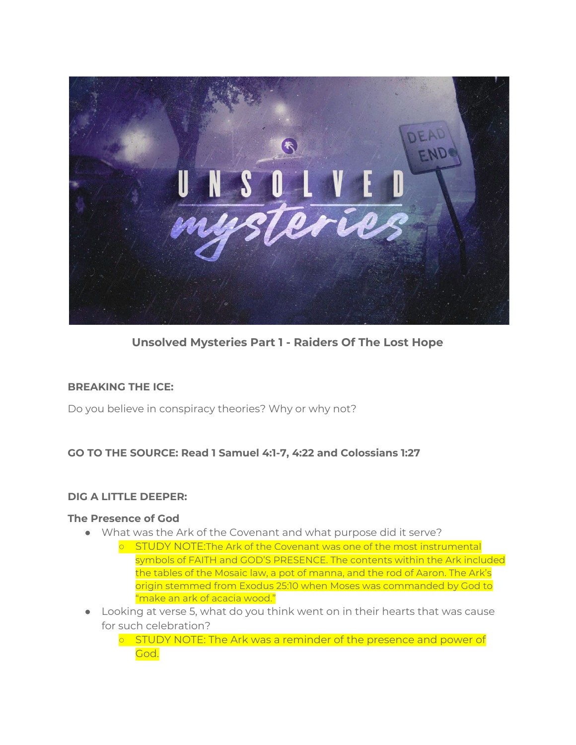

**Unsolved Mysteries Part 1 - Raiders Of The Lost Hope**

#### **BREAKING THE ICE:**

Do you believe in conspiracy theories? Why or why not?

## **GO TO THE SOURCE: Read 1 Samuel 4:1-7, 4:22 and Colossians 1:27**

#### **DIG A LITTLE DEEPER:**

#### **The Presence of God**

- What was the Ark of the Covenant and what purpose did it serve?
	- o STUDY NOTE: The Ark of the Covenant was one of the most instrumental symbols of FAITH and GOD'S PRESENCE. The contents within the Ark included the tables of the Mosaic law, a pot of manna, and the rod of Aaron. The Ark's origin stemmed from Exodus 25:10 when Moses was commanded by God to "make an ark of acacia wood."
- Looking at verse 5, what do you think went on in their hearts that was cause for such celebration?
	- STUDY NOTE: The Ark was a reminder of the presence and power of God.